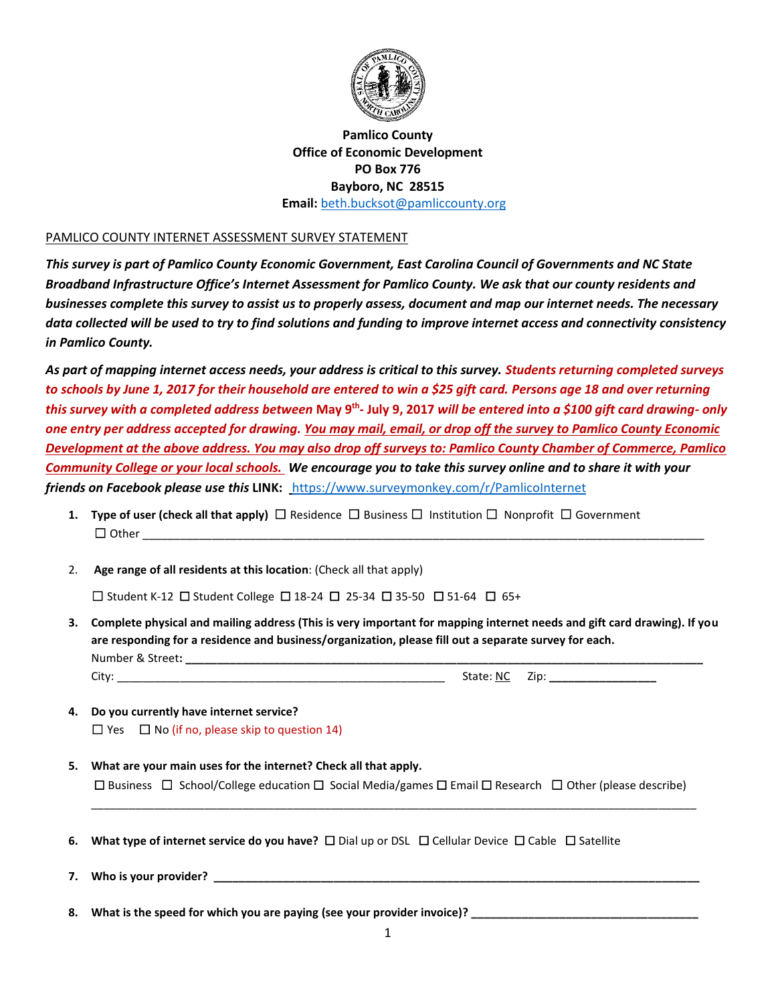

## **Pamlico County Office of Economic Development PO Box 776 Bayboro, NC 28515 Email:** [beth.bucksot@pamliccounty.org](mailto:beth.bucksot@pamliccounty.org)

## PAMLICO COUNTY INTERNET ASSESSMENT SURVEY STATEMENT

*This survey is part of Pamlico County Economic Government, East Carolina Council of Governments and NC State Broadband Infrastructure Office's Internet Assessment for Pamlico County. We ask that our county residents and businesses complete this survey to assist us to properly assess, document and map our internet needs. The necessary data collected will be used to try to find solutions and funding to improve internet access and connectivity consistency in Pamlico County.* 

*As part of mapping internet access needs, your address is critical to this survey. Students returning completed surveys to schools by June 1, 2017 for their household are entered to win a \$25 gift card. Persons age 18 and over returning this survey with a completed address between* **May 9th - July 9, 2017** *will be entered into a \$100 gift card drawing- only one entry per address accepted for drawing. You may mail, email, or drop off the survey to Pamlico County Economic Development at the above address. You may also drop off surveys to: Pamlico County Chamber of Commerce, Pamlico Community College or your local schools. We encourage you to take this survey online and to share it with your friends on Facebook please use this* **LINK:** <https://www.surveymonkey.com/r/PamlicoInternet>

- **1. Type of user (check all that apply)** ☐ Residence☐ Business ☐Institution ☐Nonprofit ☐ Government  $\Box$  Other  $\Box$
- 2. **Age range of all residents at this location**: (Check all that apply)

☐ Student K-12 ☐ Student College ☐ 18-24 ☐ 25-34 ☐ 35-50 ☐ 51-64 ☐65+

- **3. Complete physical and mailing address (This is very important for mapping internet needs and gift card drawing). If you are responding for a residence and business/organization, please fill out a separate survey for each.** Number & Street: **with a street** of the street of the street of the street of the street of the street of the street of the street of the street of the street of the street of the street of the street of the street of the City: \_\_\_\_\_\_\_\_\_\_\_\_\_\_\_\_\_\_\_\_\_\_\_\_\_\_\_\_\_\_\_\_\_\_\_\_\_\_\_\_\_\_\_\_\_\_\_\_\_\_\_\_ State: NC Zip: **\_\_\_\_\_\_\_\_\_\_\_\_\_\_\_\_\_**
- **4. Do you currently have internet service?**   $\Box$  Yes  $\Box$  No (if no, please skip to question 14)
- **5. What are your main uses for the internet? Check all that apply.** ☐ Business ☐School/College education ☐ Social Media/games ☐ Email ☐ Research ☐ Other (please describe)

\_\_\_\_\_\_\_\_\_\_\_\_\_\_\_\_\_\_\_\_\_\_\_\_\_\_\_\_\_\_\_\_\_\_\_\_\_\_\_\_\_\_\_\_\_\_\_\_\_\_\_\_\_\_\_\_\_\_\_\_\_\_\_\_\_\_\_\_\_\_\_\_\_\_\_\_\_\_\_\_\_\_\_\_\_\_\_\_\_\_\_\_\_\_\_\_

**6. What type of internet service do you have?** ☐ Dial up or DSL☐ Cellular Device ☐ Cable☐ Satellite

**7.** Who is your provider?

**8. What is the speed for which you are paying (see your provider invoice)? \_\_\_\_\_\_\_\_\_\_\_\_\_\_\_\_\_\_\_\_\_\_\_\_\_\_\_\_\_\_\_\_\_\_\_\_**